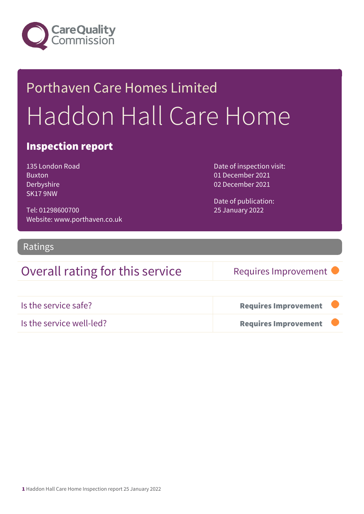

# Porthaven Care Homes Limited Haddon Hall Care Home

### Inspection report

135 London Road Buxton Derbyshire SK17 9NW

Tel: 01298600700 Website: www.porthaven.co.uk Date of inspection visit: 01 December 2021 02 December 2021

Date of publication: 25 January 2022

### Ratings

### Overall rating for this service Requires Improvement

| Is the service safe?     | <b>Requires Improvement</b> |  |
|--------------------------|-----------------------------|--|
| Is the service well-led? | <b>Requires Improvement</b> |  |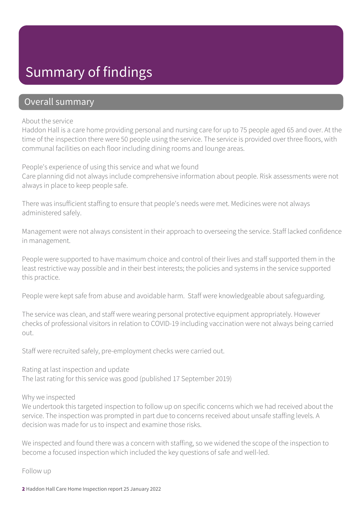# Summary of findings

### Overall summary

#### About the service

Haddon Hall is a care home providing personal and nursing care for up to 75 people aged 65 and over. At the time of the inspection there were 50 people using the service. The service is provided over three floors, with communal facilities on each floor including dining rooms and lounge areas.

People's experience of using this service and what we found Care planning did not always include comprehensive information about people. Risk assessments were not always in place to keep people safe.

There was insufficient staffing to ensure that people's needs were met. Medicines were not always administered safely.

Management were not always consistent in their approach to overseeing the service. Staff lacked confidence in management.

People were supported to have maximum choice and control of their lives and staff supported them in the least restrictive way possible and in their best interests; the policies and systems in the service supported this practice.

People were kept safe from abuse and avoidable harm. Staff were knowledgeable about safeguarding.

The service was clean, and staff were wearing personal protective equipment appropriately. However checks of professional visitors in relation to COVID-19 including vaccination were not always being carried out.

Staff were recruited safely, pre-employment checks were carried out.

Rating at last inspection and update The last rating for this service was good (published 17 September 2019)

Why we inspected

We undertook this targeted inspection to follow up on specific concerns which we had received about the service. The inspection was prompted in part due to concerns received about unsafe staffing levels. A decision was made for us to inspect and examine those risks.

We inspected and found there was a concern with staffing, so we widened the scope of the inspection to become a focused inspection which included the key questions of safe and well-led.

Follow up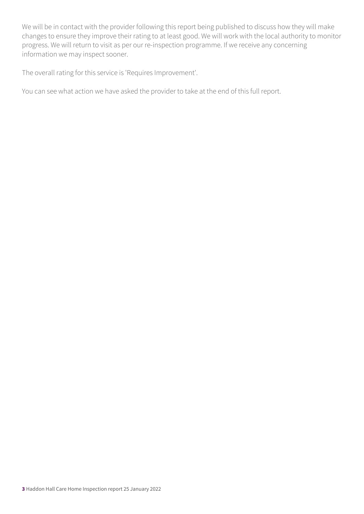We will be in contact with the provider following this report being published to discuss how they will make changes to ensure they improve their rating to at least good. We will work with the local authority to monitor progress. We will return to visit as per our re-inspection programme. If we receive any concerning information we may inspect sooner.

The overall rating for this service is 'Requires Improvement'.

You can see what action we have asked the provider to take at the end of this full report.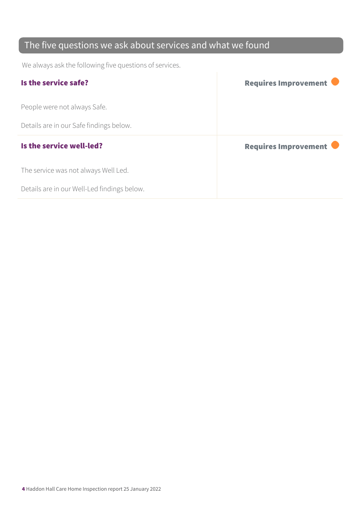### The five questions we ask about services and what we found

We always ask the following five questions of services.

| Is the service safe?                    | <b>Requires Improvement</b> |
|-----------------------------------------|-----------------------------|
| People were not always Safe.            |                             |
| Details are in our Safe findings below. |                             |
|                                         |                             |
| Is the service well-led?                | <b>Requires Improvement</b> |
| The service was not always Well Led.    |                             |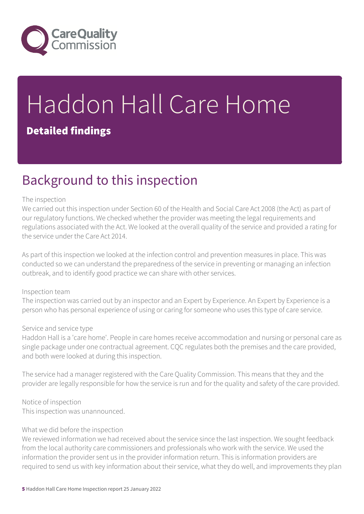

# Haddon Hall Care Home Detailed findings

# Background to this inspection

#### The inspection

We carried out this inspection under Section 60 of the Health and Social Care Act 2008 (the Act) as part of our regulatory functions. We checked whether the provider was meeting the legal requirements and regulations associated with the Act. We looked at the overall quality of the service and provided a rating for the service under the Care Act 2014.

As part of this inspection we looked at the infection control and prevention measures in place. This was conducted so we can understand the preparedness of the service in preventing or managing an infection outbreak, and to identify good practice we can share with other services.

#### Inspection team

The inspection was carried out by an inspector and an Expert by Experience. An Expert by Experience is a person who has personal experience of using or caring for someone who uses this type of care service.

#### Service and service type

Haddon Hall is a 'care home'. People in care homes receive accommodation and nursing or personal care as single package under one contractual agreement. CQC regulates both the premises and the care provided, and both were looked at during this inspection.

The service had a manager registered with the Care Quality Commission. This means that they and the provider are legally responsible for how the service is run and for the quality and safety of the care provided.

Notice of inspection This inspection was unannounced.

#### What we did before the inspection

We reviewed information we had received about the service since the last inspection. We sought feedback from the local authority care commissioners and professionals who work with the service. We used the information the provider sent us in the provider information return. This is information providers are required to send us with key information about their service, what they do well, and improvements they plan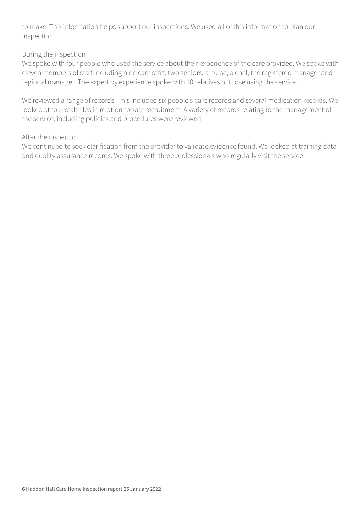to make. This information helps support our inspections. We used all of this information to plan our inspection.

#### During the inspection

We spoke with four people who used the service about their experience of the care provided. We spoke with eleven members of staff including nine care staff, two seniors, a nurse, a chef, the registered manager and regional manager. The expert by experience spoke with 10 relatives of those using the service.

We reviewed a range of records. This included six people's care records and several medication records. We looked at four staff files in relation to safe recruitment. A variety of records relating to the management of the service, including policies and procedures were reviewed.

#### After the inspection

We continued to seek clarification from the provider to validate evidence found. We looked at training data and quality assurance records. We spoke with three professionals who regularly visit the service.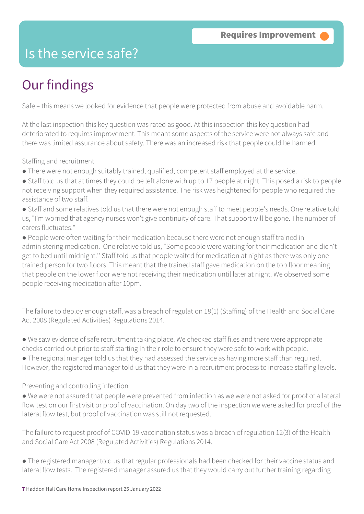## Is the service safe?

# Our findings

Safe – this means we looked for evidence that people were protected from abuse and avoidable harm.

At the last inspection this key question was rated as good. At this inspection this key question had deteriorated to requires improvement. This meant some aspects of the service were not always safe and there was limited assurance about safety. There was an increased risk that people could be harmed.

Staffing and recruitment

- There were not enough suitably trained, qualified, competent staff employed at the service.
- Staff told us that at times they could be left alone with up to 17 people at night. This posed a risk to people not receiving support when they required assistance. The risk was heightened for people who required the assistance of two staff.
- Staff and some relatives told us that there were not enough staff to meet people's needs. One relative told us, "I'm worried that agency nurses won't give continuity of care. That support will be gone. The number of carers fluctuates."

● People were often waiting for their medication because there were not enough staff trained in administering medication. One relative told us, "Some people were waiting for their medication and didn't get to bed until midnight.'' Staff told us that people waited for medication at night as there was only one trained person for two floors. This meant that the trained staff gave medication on the top floor meaning that people on the lower floor were not receiving their medication until later at night. We observed some people receiving medication after 10pm.

The failure to deploy enough staff, was a breach of regulation 18(1) (Staffing) of the Health and Social Care Act 2008 (Regulated Activities) Regulations 2014.

● We saw evidence of safe recruitment taking place. We checked staff files and there were appropriate checks carried out prior to staff starting in their role to ensure they were safe to work with people.

● The regional manager told us that they had assessed the service as having more staff than required. However, the registered manager told us that they were in a recruitment process to increase staffing levels.

Preventing and controlling infection

● We were not assured that people were prevented from infection as we were not asked for proof of a lateral flow test on our first visit or proof of vaccination. On day two of the inspection we were asked for proof of the lateral flow test, but proof of vaccination was still not requested.

The failure to request proof of COVID-19 vaccination status was a breach of regulation 12(3) of the Health and Social Care Act 2008 (Regulated Activities) Regulations 2014.

● The registered manager told us that regular professionals had been checked for their vaccine status and lateral flow tests. The registered manager assured us that they would carry out further training regarding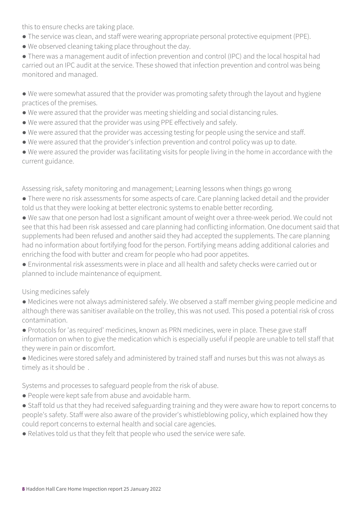this to ensure checks are taking place.

- The service was clean, and staff were wearing appropriate personal protective equipment (PPE).
- We observed cleaning taking place throughout the day.

● There was a management audit of infection prevention and control (IPC) and the local hospital had carried out an IPC audit at the service. These showed that infection prevention and control was being monitored and managed.

● We were somewhat assured that the provider was promoting safety through the layout and hygiene practices of the premises.

- We were assured that the provider was meeting shielding and social distancing rules.
- We were assured that the provider was using PPE effectively and safely.
- We were assured that the provider was accessing testing for people using the service and staff.
- We were assured that the provider's infection prevention and control policy was up to date.

● We were assured the provider was facilitating visits for people living in the home in accordance with the current guidance.

Assessing risk, safety monitoring and management; Learning lessons when things go wrong

- There were no risk assessments for some aspects of care. Care planning lacked detail and the provider told us that they were looking at better electronic systems to enable better recording.
- We saw that one person had lost a significant amount of weight over a three-week period. We could not see that this had been risk assessed and care planning had conflicting information. One document said that supplements had been refused and another said they had accepted the supplements. The care planning had no information about fortifying food for the person. Fortifying means adding additional calories and enriching the food with butter and cream for people who had poor appetites.
- Environmental risk assessments were in place and all health and safety checks were carried out or planned to include maintenance of equipment.

### Using medicines safely

- Medicines were not always administered safely. We observed a staff member giving people medicine and although there was sanitiser available on the trolley, this was not used. This posed a potential risk of cross contamination.
- Protocols for 'as required' medicines, known as PRN medicines, were in place. These gave staff information on when to give the medication which is especially useful if people are unable to tell staff that they were in pain or discomfort.
- Medicines were stored safely and administered by trained staff and nurses but this was not always as timely as it should be .

Systems and processes to safeguard people from the risk of abuse.

- People were kept safe from abuse and avoidable harm.
- Staff told us that they had received safeguarding training and they were aware how to report concerns to people's safety. Staff were also aware of the provider's whistleblowing policy, which explained how they could report concerns to external health and social care agencies.
- Relatives told us that they felt that people who used the service were safe.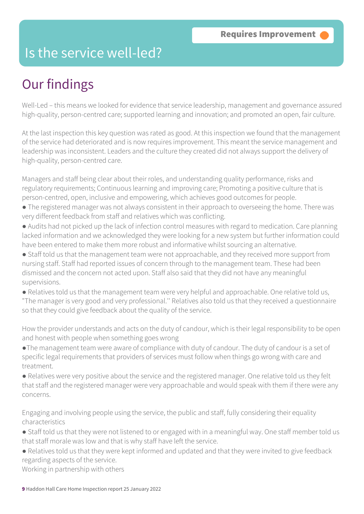### Is the service well-led?

# Our findings

Well-Led – this means we looked for evidence that service leadership, management and governance assured high-quality, person-centred care; supported learning and innovation; and promoted an open, fair culture.

At the last inspection this key question was rated as good. At this inspection we found that the management of the service had deteriorated and is now requires improvement. This meant the service management and leadership was inconsistent. Leaders and the culture they created did not always support the delivery of high-quality, person-centred care.

Managers and staff being clear about their roles, and understanding quality performance, risks and regulatory requirements; Continuous learning and improving care; Promoting a positive culture that is person-centred, open, inclusive and empowering, which achieves good outcomes for people.

- The registered manager was not always consistent in their approach to overseeing the home. There was very different feedback from staff and relatives which was conflicting.
- Audits had not picked up the lack of infection control measures with regard to medication. Care planning lacked information and we acknowledged they were looking for a new system but further information could have been entered to make them more robust and informative whilst sourcing an alternative.
- Staff told us that the management team were not approachable, and they received more support from nursing staff. Staff had reported issues of concern through to the management team. These had been dismissed and the concern not acted upon. Staff also said that they did not have any meaningful supervisions.
- Relatives told us that the management team were very helpful and approachable. One relative told us, "The manager is very good and very professional.'' Relatives also told us that they received a questionnaire so that they could give feedback about the quality of the service.

How the provider understands and acts on the duty of candour, which is their legal responsibility to be open and honest with people when something goes wrong

- ●The management team were aware of compliance with duty of candour. The duty of candour is a set of specific legal requirements that providers of services must follow when things go wrong with care and treatment.
- Relatives were very positive about the service and the registered manager. One relative told us they felt that staff and the registered manager were very approachable and would speak with them if there were any concerns.

Engaging and involving people using the service, the public and staff, fully considering their equality characteristics

- Staff told us that they were not listened to or engaged with in a meaningful way. One staff member told us that staff morale was low and that is why staff have left the service.
- Relatives told us that they were kept informed and updated and that they were invited to give feedback regarding aspects of the service.

Working in partnership with others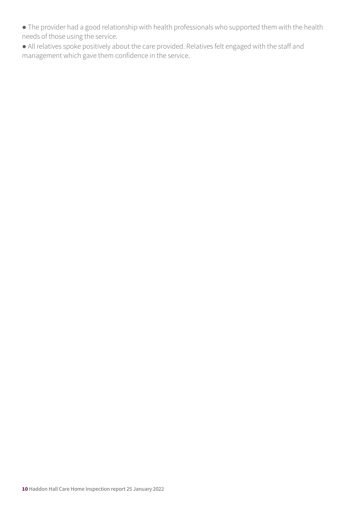- The provider had a good relationship with health professionals who supported them with the health needs of those using the service.
- All relatives spoke positively about the care provided. Relatives felt engaged with the staff and management which gave them confidence in the service.